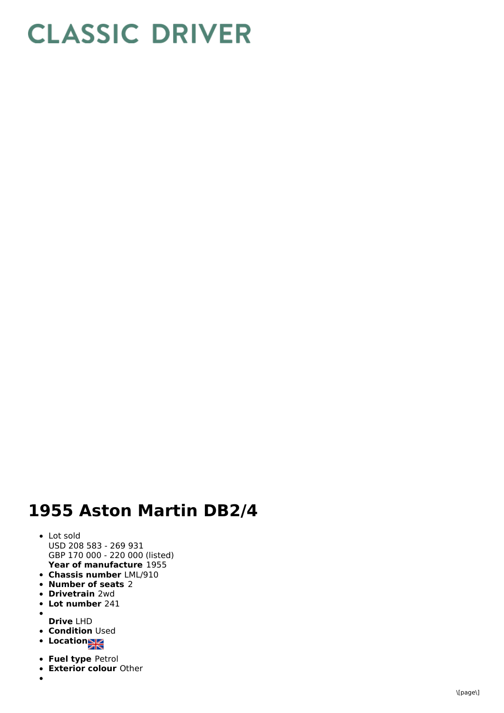## **CLASSIC DRIVER**

## **1955 Aston Martin DB2/4**

- **Year of manufacture** 1955 L o t s old U S D 2 0 8 5 8 3 - 2 6 9 9 3 1 GBP 170 000 - 220 000 (listed)
- **Chassis number** LML/910
- **n h h c n c** *n***<b>c** *n***<b>c** *n***<b>c** *n***<b>c** *n* **c** *n* **c** *n* **c** *n* **c** *n* **c** *n***<b>c n c n c n c n c n c n c n c n c n c n c**
- **Drivetrain** 2wd
- **Lot number** 241
- 
- **D r i v e** L H D **Condition** Used
- **L**ocation
- **Fuel type Petrol**
- **Exterior colour Other**
-